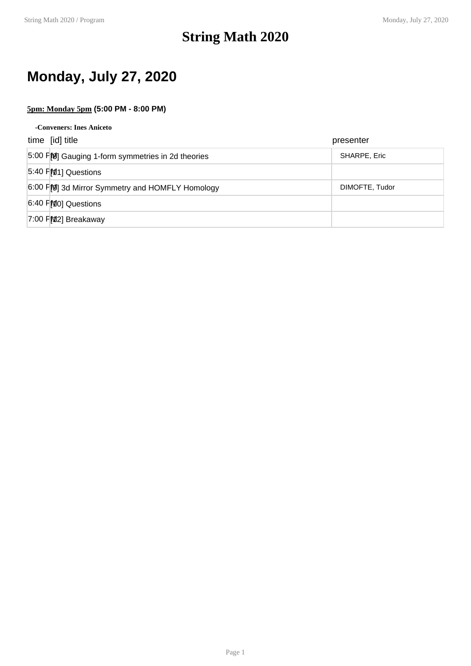### **String Math 2020**

### **Monday, July 27, 2020**

### **5pm: Monday 5pm (5:00 PM - 8:00 PM)**

| -Conveners: Ines Aniceto                         |                |
|--------------------------------------------------|----------------|
| time [id] title                                  | presenter      |
| 5:00 FM Gauging 1-form symmetries in 2d theories | SHARPE, Eric   |
| $5.40$ PM <sub>1</sub> ] Questions               |                |
| 6:00 F[O] 3d Mirror Symmetry and HOMFLY Homology | DIMOFTE, Tudor |
| $6:40$ PMO] Questions                            |                |
| $7:00$ FM2] Breakaway                            |                |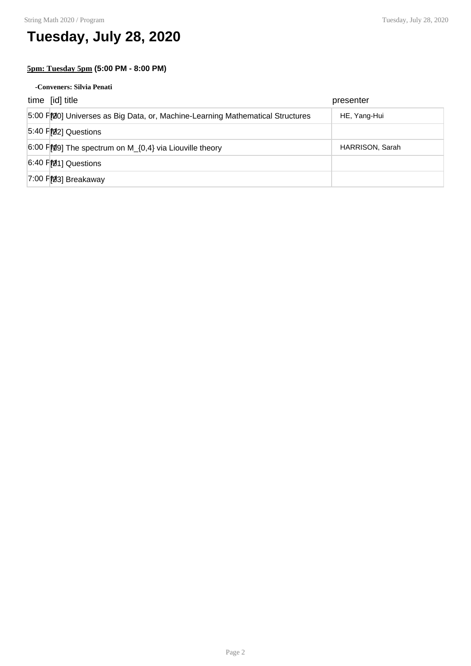### **Tuesday, July 28, 2020**

### **5pm: Tuesday 5pm (5:00 PM - 8:00 PM)**

#### **-Conveners: Silvia Penati**

| time [id] title                                                               | presenter       |
|-------------------------------------------------------------------------------|-----------------|
| 5:00 F 20 Universes as Big Data, or, Machine-Learning Mathematical Structures | HE, Yang-Hui    |
| 5:40 FM2] Questions                                                           |                 |
| $6:00$ FMg The spectrum on M <sub>_{0,4}</sub> via Liouville theory           | HARRISON, Sarah |
| 6:40 FM1] Questions                                                           |                 |
| 7:00 PM3] Breakaway                                                           |                 |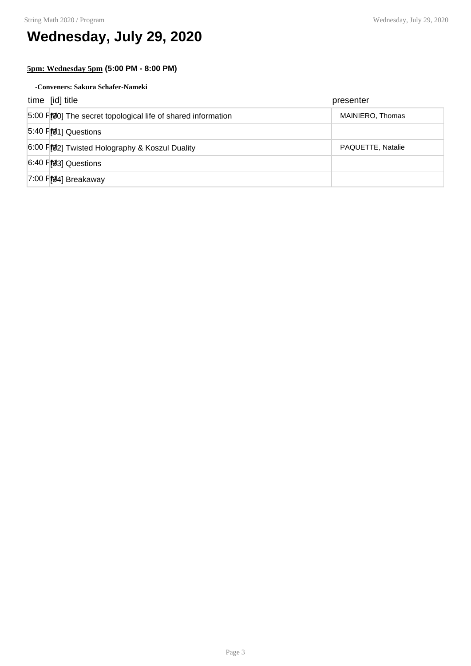# **Wednesday, July 29, 2020**

### **5pm: Wednesday 5pm (5:00 PM - 8:00 PM)**

**-Conveners: Sakura Schafer-Nameki**

| time [id] title                                             | presenter         |
|-------------------------------------------------------------|-------------------|
| 5:00 F[0] The secret topological life of shared information | MAINIERO, Thomas  |
| $5:40$ FM <sub>1</sub> ] Questions                          |                   |
| 6:00 F[92] Twisted Holography & Koszul Duality              | PAQUETTE, Natalie |
| $6:40$ PM $3$ ] Questions                                   |                   |
| $7:00$ P $[94]$ Breakaway                                   |                   |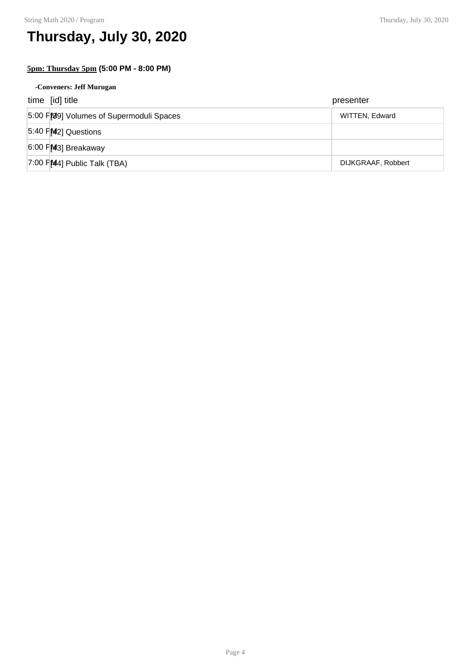# **Thursday, July 30, 2020**

### **5pm: Thursday 5pm (5:00 PM - 8:00 PM)**

| -Conveners: Jeff Murugan                |                    |
|-----------------------------------------|--------------------|
| time [id] title                         | presenter          |
| 5:00 FM9] Volumes of Supermoduli Spaces | WITTEN, Edward     |
| 5:40 FM2] Questions                     |                    |
| 6:00 PM3] Breakaway                     |                    |
| $7:00$ PM4] Public Talk (TBA)           | DIJKGRAAF, Robbert |